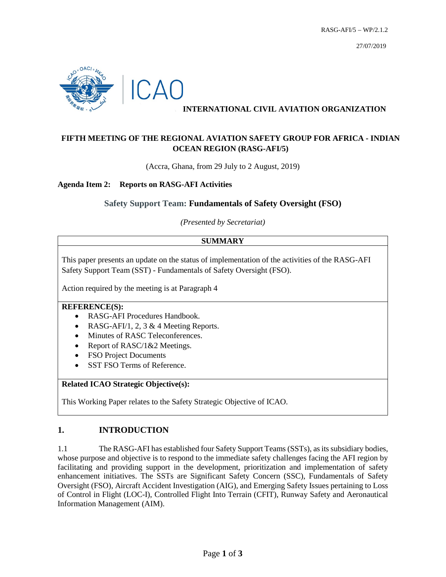

# **INTERNATIONAL CIVIL AVIATION ORGANIZATION**

# **FIFTH MEETING OF THE REGIONAL AVIATION SAFETY GROUP FOR AFRICA - INDIAN OCEAN REGION (RASG-AFI/5)**

(Accra, Ghana, from 29 July to 2 August, 2019)

### **Agenda Item 2: Reports on RASG-AFI Activities**

## **Safety Support Team: Fundamentals of Safety Oversight (FSO)**

*(Presented by Secretariat)*

### **SUMMARY**

This paper presents an update on the status of implementation of the activities of the RASG-AFI Safety Support Team (SST) - Fundamentals of Safety Oversight (FSO).

Action required by the meeting is at Paragraph 4

#### **REFERENCE(S):**

- RASG-AFI Procedures Handbook.
- RASG-AFI/1, 2, 3 & 4 Meeting Reports.
- Minutes of RASC Teleconferences.
- Report of RASC/1&2 Meetings.
- FSO Project Documents
- SST FSO Terms of Reference.

### **Related ICAO Strategic Objective(s):**

This Working Paper relates to the Safety Strategic Objective of ICAO.

## **1. INTRODUCTION**

1.1 The RASG-AFI has established four Safety Support Teams (SSTs), as its subsidiary bodies, whose purpose and objective is to respond to the immediate safety challenges facing the AFI region by facilitating and providing support in the development, prioritization and implementation of safety enhancement initiatives. The SSTs are Significant Safety Concern (SSC), Fundamentals of Safety Oversight (FSO), Aircraft Accident Investigation (AIG), and Emerging Safety Issues pertaining to Loss of Control in Flight (LOC-I), Controlled Flight Into Terrain (CFIT), Runway Safety and Aeronautical Information Management (AIM).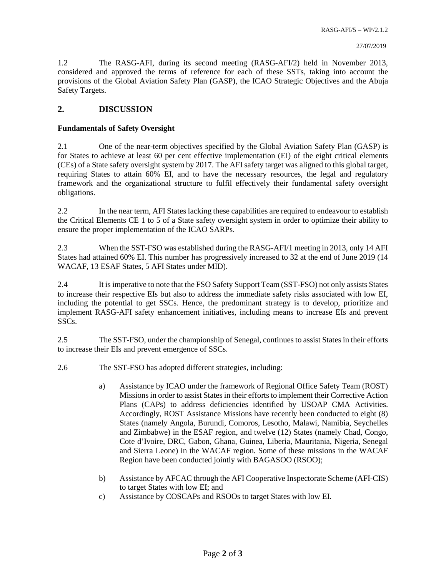1.2 The RASG-AFI, during its second meeting (RASG-AFI/2) held in November 2013, considered and approved the terms of reference for each of these SSTs, taking into account the provisions of the Global Aviation Safety Plan (GASP), the ICAO Strategic Objectives and the Abuja Safety Targets.

### **2. DISCUSSION**

#### **Fundamentals of Safety Oversight**

2.1 One of the near-term objectives specified by the Global Aviation Safety Plan (GASP) is for States to achieve at least 60 per cent effective implementation (EI) of the eight critical elements (CEs) of a State safety oversight system by 2017. The AFI safety target was aligned to this global target, requiring States to attain 60% EI, and to have the necessary resources, the legal and regulatory framework and the organizational structure to fulfil effectively their fundamental safety oversight obligations.

2.2 In the near term, AFI States lacking these capabilities are required to endeavour to establish the Critical Elements CE 1 to 5 of a State safety oversight system in order to optimize their ability to ensure the proper implementation of the ICAO SARPs.

2.3 When the SST-FSO was established during the RASG-AFI/1 meeting in 2013, only 14 AFI States had attained 60% EI. This number has progressively increased to 32 at the end of June 2019 (14 WACAF, 13 ESAF States, 5 AFI States under MID).

2.4 It is imperative to note that the FSO Safety Support Team (SST-FSO) not only assists States to increase their respective EIs but also to address the immediate safety risks associated with low EI, including the potential to get SSCs. Hence, the predominant strategy is to develop, prioritize and implement RASG-AFI safety enhancement initiatives, including means to increase EIs and prevent SSCs.

2.5 The SST-FSO, under the championship of Senegal, continues to assist States in their efforts to increase their EIs and prevent emergence of SSCs.

- 2.6 The SST-FSO has adopted different strategies, including:
	- a) Assistance by ICAO under the framework of Regional Office Safety Team (ROST) Missions in order to assist States in their efforts to implement their Corrective Action Plans (CAPs) to address deficiencies identified by USOAP CMA Activities. Accordingly, ROST Assistance Missions have recently been conducted to eight (8) States (namely Angola, Burundi, Comoros, Lesotho, Malawi, Namibia, Seychelles and Zimbabwe) in the ESAF region, and twelve (12) States (namely Chad, Congo, Cote d'Ivoire, DRC, Gabon, Ghana, Guinea, Liberia, Mauritania, Nigeria, Senegal and Sierra Leone) in the WACAF region. Some of these missions in the WACAF Region have been conducted jointly with BAGASOO (RSOO);
	- b) Assistance by AFCAC through the AFI Cooperative Inspectorate Scheme (AFI-CIS) to target States with low EI; and
	- c) Assistance by COSCAPs and RSOOs to target States with low EI.